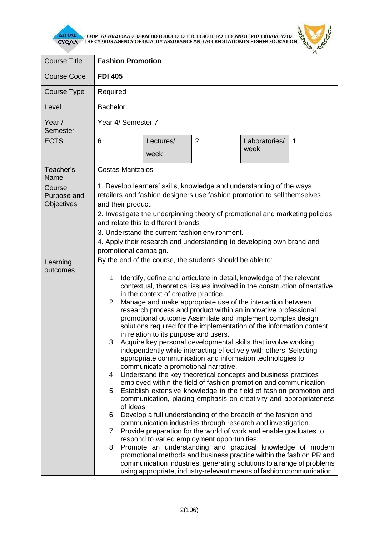

 $\overline{\Delta}$  (ΠΑΕ<br>CYQAA THE CYPRUS AGENCY OF QUALITY ASSURANCE AND ACCREDITATION IN HIGHER EDUCATION



| <b>FDI 405</b>                                                                                                                                                                                                                                                                                                                                                                                                                                                                                                                                                                                                                                                                                                                                                                                                                                                                                                                                                                                                                                                                                                                                                                                                                                                                                                                                                                                                                                                       |                                                                                                                                                                                                                                               |  |  |
|----------------------------------------------------------------------------------------------------------------------------------------------------------------------------------------------------------------------------------------------------------------------------------------------------------------------------------------------------------------------------------------------------------------------------------------------------------------------------------------------------------------------------------------------------------------------------------------------------------------------------------------------------------------------------------------------------------------------------------------------------------------------------------------------------------------------------------------------------------------------------------------------------------------------------------------------------------------------------------------------------------------------------------------------------------------------------------------------------------------------------------------------------------------------------------------------------------------------------------------------------------------------------------------------------------------------------------------------------------------------------------------------------------------------------------------------------------------------|-----------------------------------------------------------------------------------------------------------------------------------------------------------------------------------------------------------------------------------------------|--|--|
| Required                                                                                                                                                                                                                                                                                                                                                                                                                                                                                                                                                                                                                                                                                                                                                                                                                                                                                                                                                                                                                                                                                                                                                                                                                                                                                                                                                                                                                                                             |                                                                                                                                                                                                                                               |  |  |
| <b>Bachelor</b>                                                                                                                                                                                                                                                                                                                                                                                                                                                                                                                                                                                                                                                                                                                                                                                                                                                                                                                                                                                                                                                                                                                                                                                                                                                                                                                                                                                                                                                      |                                                                                                                                                                                                                                               |  |  |
| Year 4/ Semester 7                                                                                                                                                                                                                                                                                                                                                                                                                                                                                                                                                                                                                                                                                                                                                                                                                                                                                                                                                                                                                                                                                                                                                                                                                                                                                                                                                                                                                                                   |                                                                                                                                                                                                                                               |  |  |
| $\overline{2}$<br>6<br>Lectures/<br>Laboratories/<br>week<br>week                                                                                                                                                                                                                                                                                                                                                                                                                                                                                                                                                                                                                                                                                                                                                                                                                                                                                                                                                                                                                                                                                                                                                                                                                                                                                                                                                                                                    | 1                                                                                                                                                                                                                                             |  |  |
| <b>Costas Mantzalos</b>                                                                                                                                                                                                                                                                                                                                                                                                                                                                                                                                                                                                                                                                                                                                                                                                                                                                                                                                                                                                                                                                                                                                                                                                                                                                                                                                                                                                                                              |                                                                                                                                                                                                                                               |  |  |
| 1. Develop learners' skills, knowledge and understanding of the ways<br>retailers and fashion designers use fashion promotion to sell themselves<br>and their product.<br>2. Investigate the underpinning theory of promotional and marketing policies<br>and relate this to different brands<br>3. Understand the current fashion environment.<br>4. Apply their research and understanding to developing own brand and                                                                                                                                                                                                                                                                                                                                                                                                                                                                                                                                                                                                                                                                                                                                                                                                                                                                                                                                                                                                                                             |                                                                                                                                                                                                                                               |  |  |
| By the end of the course, the students should be able to:<br>Identify, define and articulate in detail, knowledge of the relevant<br>1.<br>contextual, theoretical issues involved in the construction of narrative<br>in the context of creative practice.<br>Manage and make appropriate use of the interaction between<br>2.<br>research process and product within an innovative professional<br>promotional outcome Assimilate and implement complex design<br>solutions required for the implementation of the information content,<br>in relation to its purpose and users.<br>3. Acquire key personal developmental skills that involve working<br>independently while interacting effectively with others. Selecting<br>appropriate communication and information technologies to<br>communicate a promotional narrative.<br>4. Understand the key theoretical concepts and business practices<br>employed within the field of fashion promotion and communication<br>5. Establish extensive knowledge in the field of fashion promotion and<br>communication, placing emphasis on creativity and appropriateness<br>of ideas.<br>6. Develop a full understanding of the breadth of the fashion and<br>communication industries through research and investigation.<br>7. Provide preparation for the world of work and enable graduates to<br>respond to varied employment opportunities.<br>8. Promote an understanding and practical knowledge of modern |                                                                                                                                                                                                                                               |  |  |
|                                                                                                                                                                                                                                                                                                                                                                                                                                                                                                                                                                                                                                                                                                                                                                                                                                                                                                                                                                                                                                                                                                                                                                                                                                                                                                                                                                                                                                                                      | promotional campaign.<br>promotional methods and business practice within the fashion PR and<br>communication industries, generating solutions to a range of problems<br>using appropriate, industry-relevant means of fashion communication. |  |  |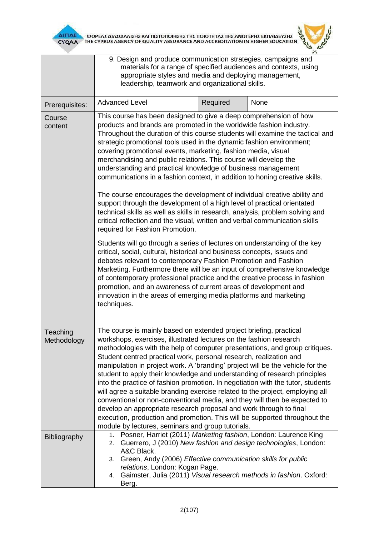



|                         | 9. Design and produce communication strategies, campaigns and<br>materials for a range of specified audiences and contexts, using<br>appropriate styles and media and deploying management,<br>leadership, teamwork and organizational skills.                                                                                                                                                                                                                                                                                                                                                                                                                                                                                                                                                                                                                                                                                                                                                                                                                                                                                                                                                                                                                                                                                                                                                                                                                              |          |                                                                                                                                       |
|-------------------------|-----------------------------------------------------------------------------------------------------------------------------------------------------------------------------------------------------------------------------------------------------------------------------------------------------------------------------------------------------------------------------------------------------------------------------------------------------------------------------------------------------------------------------------------------------------------------------------------------------------------------------------------------------------------------------------------------------------------------------------------------------------------------------------------------------------------------------------------------------------------------------------------------------------------------------------------------------------------------------------------------------------------------------------------------------------------------------------------------------------------------------------------------------------------------------------------------------------------------------------------------------------------------------------------------------------------------------------------------------------------------------------------------------------------------------------------------------------------------------|----------|---------------------------------------------------------------------------------------------------------------------------------------|
| Prerequisites:          | <b>Advanced Level</b>                                                                                                                                                                                                                                                                                                                                                                                                                                                                                                                                                                                                                                                                                                                                                                                                                                                                                                                                                                                                                                                                                                                                                                                                                                                                                                                                                                                                                                                       | Required | None                                                                                                                                  |
| Course<br>content       | This course has been designed to give a deep comprehension of how<br>products and brands are promoted in the worldwide fashion industry.<br>Throughout the duration of this course students will examine the tactical and<br>strategic promotional tools used in the dynamic fashion environment;<br>covering promotional events, marketing, fashion media, visual<br>merchandising and public relations. This course will develop the<br>understanding and practical knowledge of business management<br>communications in a fashion context, in addition to honing creative skills.<br>The course encourages the development of individual creative ability and<br>support through the development of a high level of practical orientated<br>technical skills as well as skills in research, analysis, problem solving and<br>critical reflection and the visual, written and verbal communication skills<br>required for Fashion Promotion.<br>Students will go through a series of lectures on understanding of the key<br>critical, social, cultural, historical and business concepts, issues and<br>debates relevant to contemporary Fashion Promotion and Fashion<br>Marketing. Furthermore there will be an input of comprehensive knowledge<br>of contemporary professional practice and the creative process in fashion<br>promotion, and an awareness of current areas of development and<br>innovation in the areas of emerging media platforms and marketing |          |                                                                                                                                       |
|                         | techniques.                                                                                                                                                                                                                                                                                                                                                                                                                                                                                                                                                                                                                                                                                                                                                                                                                                                                                                                                                                                                                                                                                                                                                                                                                                                                                                                                                                                                                                                                 |          |                                                                                                                                       |
| Teaching<br>Methodology | The course is mainly based on extended project briefing, practical<br>workshops, exercises, illustrated lectures on the fashion research<br>methodologies with the help of computer presentations, and group critiques.<br>Student centred practical work, personal research, realization and<br>manipulation in project work. A 'branding' project will be the vehicle for the<br>student to apply their knowledge and understanding of research principles<br>into the practice of fashion promotion. In negotiation with the tutor, students<br>will agree a suitable branding exercise related to the project, employing all<br>conventional or non-conventional media, and they will then be expected to<br>develop an appropriate research proposal and work through to final<br>execution, production and promotion. This will be supported throughout the<br>module by lectures, seminars and group tutorials.                                                                                                                                                                                                                                                                                                                                                                                                                                                                                                                                                      |          |                                                                                                                                       |
| <b>Bibliography</b>     | Posner, Harriet (2011) Marketing fashion, London: Laurence King<br>1.<br>2.<br>A&C Black.<br>Green, Andy (2006) Effective communication skills for public<br>3.<br>relations, London: Kogan Page.<br>4.<br>Berg.                                                                                                                                                                                                                                                                                                                                                                                                                                                                                                                                                                                                                                                                                                                                                                                                                                                                                                                                                                                                                                                                                                                                                                                                                                                            |          | Guerrero, J (2010) New fashion and design technologies, London:<br>Gaimster, Julia (2011) Visual research methods in fashion. Oxford: |